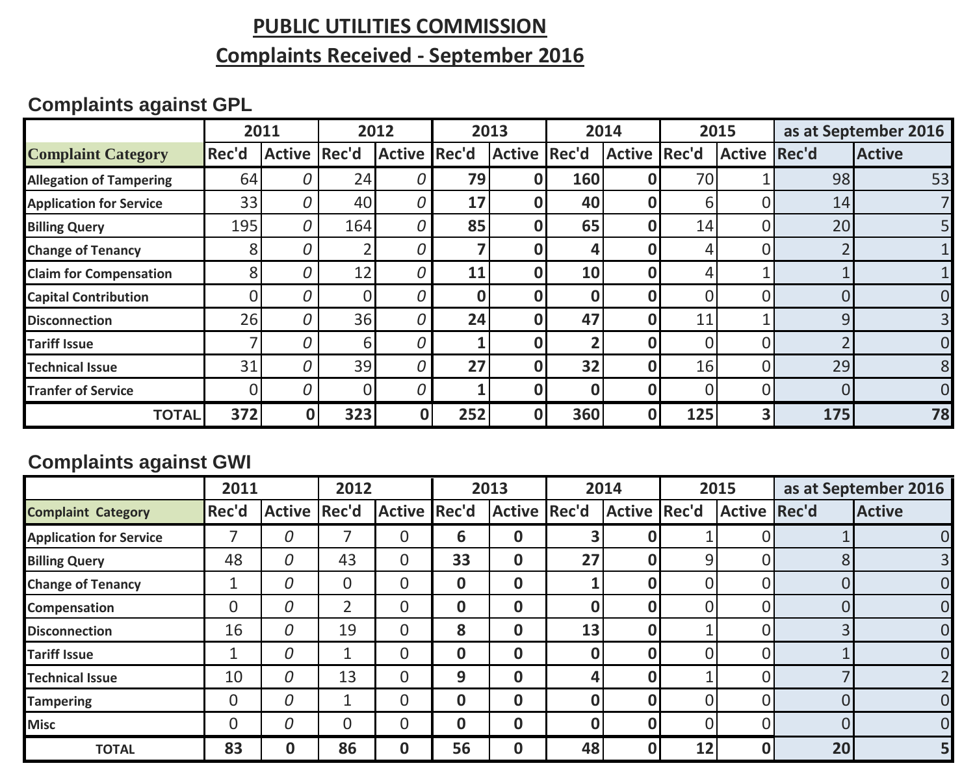## **PUBLIC UTILITIES COMMISSION**

## **Complaints Received - September 2016**

# **Complaints against GPL**

|                                |       | 2011<br>2012        |     | 2013                |     | 2014         |     | 2015                |          | as at September 2016 |          |                |
|--------------------------------|-------|---------------------|-----|---------------------|-----|--------------|-----|---------------------|----------|----------------------|----------|----------------|
| <b>Complaint Category</b>      | Rec'd | <b>Active Rec'd</b> |     | <b>Active Rec'd</b> |     | Active Rec'd |     | <b>Active Rec'd</b> |          | <b>Active Rec'd</b>  |          | <b>Active</b>  |
| <b>Allegation of Tampering</b> | 64    |                     | 24  | 0                   | 79  |              | 160 |                     | 70       |                      | 98       | 53             |
| <b>Application for Service</b> | 33    | 0                   | 40  | 0                   | 17  |              | 40  |                     | 6        |                      | 14       |                |
| <b>Billing Query</b>           | 195   | 0                   | 164 | 0                   | 85  |              | 65  | 0                   | 14       |                      | 20       |                |
| <b>Change of Tenancy</b>       | 8     |                     |     | 0                   |     |              | 4   |                     | 4        |                      |          |                |
| <b>Claim for Compensation</b>  | 8     |                     | 12  | 0                   | 11  |              | 10  | Ω                   |          |                      |          |                |
| <b>Capital Contribution</b>    |       | 0                   |     | 0                   | 0   |              | 0   |                     |          |                      |          | $\overline{0}$ |
| <b>Disconnection</b>           | 26    |                     | 36  | 0                   | 24  |              | 47  |                     | 11       |                      | $\Omega$ |                |
| <b>Tariff Issue</b>            |       |                     | 6   | 0                   |     |              |     | Ω                   | $\Omega$ |                      |          | 0              |
| <b>Technical Issue</b>         | 31    | 0                   | 39  | 0                   | 27  |              | 32  | Ω                   | 16       | O                    | 29       | 8              |
| <b>Tranfer of Service</b>      | 0     |                     |     | 0                   |     | 0            | 0   | Ω                   | $\Omega$ | O.                   | $\Omega$ | $\Omega$       |
| <b>TOTAL</b>                   | 372   |                     | 323 | 0                   | 252 |              | 360 | 0                   | 125      |                      | 175      | 78             |

#### **Complaints against GWI**

|                                | 2011  |                     | 2012 |              | 2013 |              | 2014 |                     | 2015 |                     | as at September 2016 |                |
|--------------------------------|-------|---------------------|------|--------------|------|--------------|------|---------------------|------|---------------------|----------------------|----------------|
| <b>Complaint Category</b>      | Rec'd | <b>Active Rec'd</b> |      | Active Rec'd |      | Active Rec'd |      | <b>Active Rec'd</b> |      | <b>Active Rec'd</b> |                      | <b>Active</b>  |
| <b>Application for Service</b> |       | 0                   |      | 0            | 6    | 0            | 3    |                     |      |                     |                      | $\Omega$       |
| <b>Billing Query</b>           | 48    | 0                   | 43   | 0            | 33   | $\mathbf{0}$ | 27   | 0                   | 9    | ΩI                  |                      | 3              |
| <b>Change of Tenancy</b>       |       | 0                   | 0    | 0            | 0    | $\bf{0}$     |      | 0                   | 0    | ΩI                  |                      | $\Omega$       |
| Compensation                   | 0     | 0                   | 2    | 0            | 0    | $\mathbf{0}$ | 0    | 0                   | 0    | 01                  |                      | $\Omega$       |
| <b>Disconnection</b>           | 16    | 0                   | 19   | 0            | 8    | $\bf{0}$     | 13   | Ω                   |      | 0                   |                      | $\Omega$       |
| <b>Tariff Issue</b>            |       | 0                   |      | 0            | 0    | $\mathbf{0}$ | 0    | Ω                   |      | O.                  |                      | $\Omega$       |
| <b>Technical Issue</b>         | 10    | 0                   | 13   | 0            | 9    | $\mathbf{0}$ | 4    | Ω                   |      | O.                  |                      | $\overline{2}$ |
| <b>Tampering</b>               | 0     | 0                   |      | 0            | 0    | $\bf{0}$     | 0    | 0                   |      | 0                   |                      | $\Omega$       |
| <b>Misc</b>                    | 0     | 0                   | 0    | 0            | 0    | 0            | 0    | 0                   |      |                     |                      | $\Omega$       |
| <b>TOTAL</b>                   | 83    | O                   | 86   | 0            | 56   | 0            | 48   | 0                   | 12   | $\mathbf{0}$        | 20                   |                |